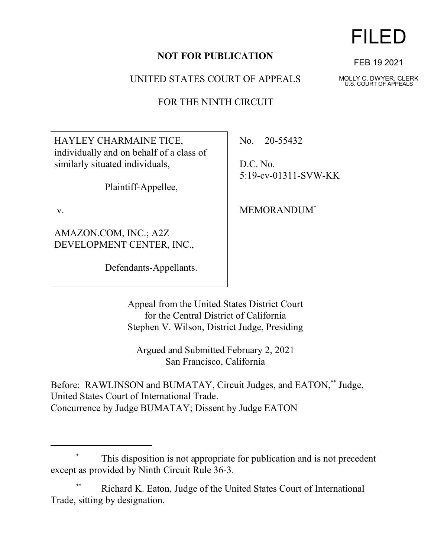### **NOT FOR PUBLICATION**

UNITED STATES COURT OF APPEALS

FOR THE NINTH CIRCUIT

HAYLEY CHARMAINE TICE, individually and on behalf of a class of similarly situated individuals,

Plaintiff-Appellee,

v.

AMAZON.COM, INC.; A2Z DEVELOPMENT CENTER, INC.,

Defendants-Appellants.

No. 20-55432

D.C. No. 5:19-cv-01311-SVW-KK

MEMORANDUM\*

Appeal from the United States District Court for the Central District of California Stephen V. Wilson, District Judge, Presiding

Argued and Submitted February 2, 2021 San Francisco, California

Before: RAWLINSON and BUMATAY, Circuit Judges, and EATON,\*\* Judge, United States Court of International Trade. Concurrence by Judge BUMATAY; Dissent by Judge EATON

### This disposition is not appropriate for publication and is not precedent except as provided by Ninth Circuit Rule 36-3.

Richard K. Eaton, Judge of the United States Court of International Trade, sitting by designation.

FILED

FEB 19 2021

MOLLY C. DWYER, CLERK U.S. COURT OF APPEALS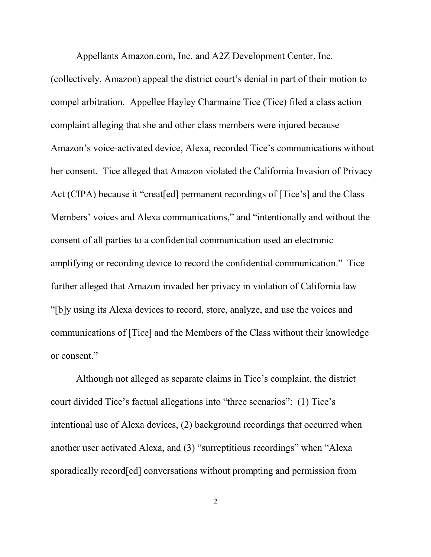(collectively, Amazon) appeal the district court's denial in part of their motion to compel arbitration. Appellee Hayley Charmaine Tice (Tice) filed a class action complaint alleging that she and other class members were injured because Amazon's voice-activated device, Alexa, recorded Tice's communications without

Appellants Amazon.com, Inc. and A2Z Development Center, Inc.

her consent. Tice alleged that Amazon violated the California Invasion of Privacy Act (CIPA) because it "creat[ed] permanent recordings of [Tice's] and the Class Members' voices and Alexa communications," and "intentionally and without the consent of all parties to a confidential communication used an electronic amplifying or recording device to record the confidential communication." Tice further alleged that Amazon invaded her privacy in violation of California law "[b]y using its Alexa devices to record, store, analyze, and use the voices and communications of [Tice] and the Members of the Class without their knowledge or consent."

Although not alleged as separate claims in Tice's complaint, the district court divided Tice's factual allegations into "three scenarios": (1) Tice's intentional use of Alexa devices, (2) background recordings that occurred when another user activated Alexa, and (3) "surreptitious recordings" when "Alexa sporadically record[ed] conversations without prompting and permission from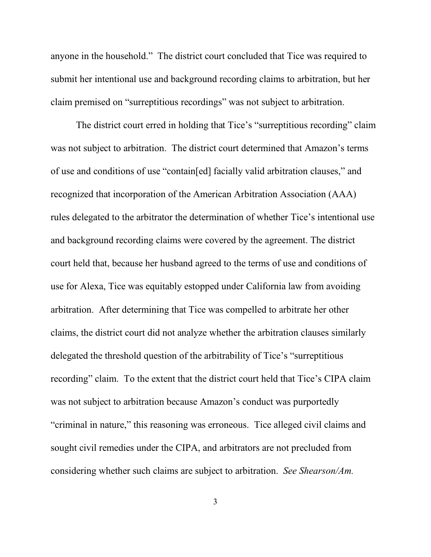anyone in the household." The district court concluded that Tice was required to submit her intentional use and background recording claims to arbitration, but her claim premised on "surreptitious recordings" was not subject to arbitration.

The district court erred in holding that Tice's "surreptitious recording" claim was not subject to arbitration. The district court determined that Amazon's terms of use and conditions of use "contain[ed] facially valid arbitration clauses," and recognized that incorporation of the American Arbitration Association (AAA) rules delegated to the arbitrator the determination of whether Tice's intentional use and background recording claims were covered by the agreement. The district court held that, because her husband agreed to the terms of use and conditions of use for Alexa, Tice was equitably estopped under California law from avoiding arbitration. After determining that Tice was compelled to arbitrate her other claims, the district court did not analyze whether the arbitration clauses similarly delegated the threshold question of the arbitrability of Tice's "surreptitious recording" claim. To the extent that the district court held that Tice's CIPA claim was not subject to arbitration because Amazon's conduct was purportedly "criminal in nature," this reasoning was erroneous. Tice alleged civil claims and sought civil remedies under the CIPA, and arbitrators are not precluded from considering whether such claims are subject to arbitration. *See Shearson/Am.*

3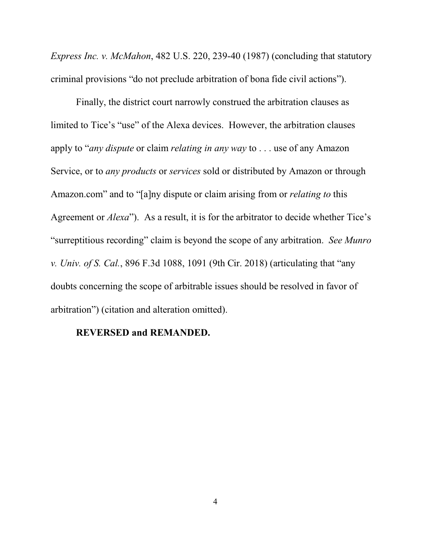*Express Inc. v. McMahon*, 482 U.S. 220, 239-40 (1987) (concluding that statutory criminal provisions "do not preclude arbitration of bona fide civil actions").

Finally, the district court narrowly construed the arbitration clauses as limited to Tice's "use" of the Alexa devices. However, the arbitration clauses apply to "*any dispute* or claim *relating in any way* to . . . use of any Amazon Service, or to *any products* or *services* sold or distributed by Amazon or through Amazon.com" and to "[a]ny dispute or claim arising from or *relating to* this Agreement or *Alexa*"). As a result, it is for the arbitrator to decide whether Tice's "surreptitious recording" claim is beyond the scope of any arbitration. *See Munro v. Univ. of S. Cal.*, 896 F.3d 1088, 1091 (9th Cir. 2018) (articulating that "any doubts concerning the scope of arbitrable issues should be resolved in favor of arbitration") (citation and alteration omitted).

#### **REVERSED and REMANDED.**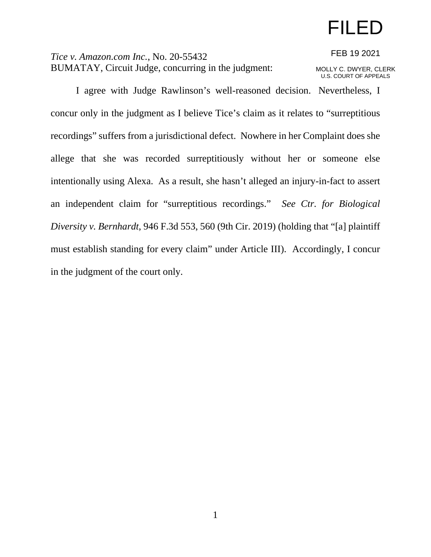## FILED

*Tice v. Amazon.com Inc.*, No. 20-55432 BUMATAY, Circuit Judge, concurring in the judgment:

FEB 19 2021 MOLLY C. DWYER, CLERK U.S. COURT OF APPEALS

I agree with Judge Rawlinson's well-reasoned decision. Nevertheless, I concur only in the judgment as I believe Tice's claim as it relates to "surreptitious recordings" suffers from a jurisdictional defect. Nowhere in her Complaint does she allege that she was recorded surreptitiously without her or someone else intentionally using Alexa. As a result, she hasn't alleged an injury-in-fact to assert an independent claim for "surreptitious recordings." *See Ctr. for Biological Diversity v. Bernhardt*, 946 F.3d 553, 560 (9th Cir. 2019) (holding that "[a] plaintiff must establish standing for every claim" under Article III). Accordingly, I concur in the judgment of the court only.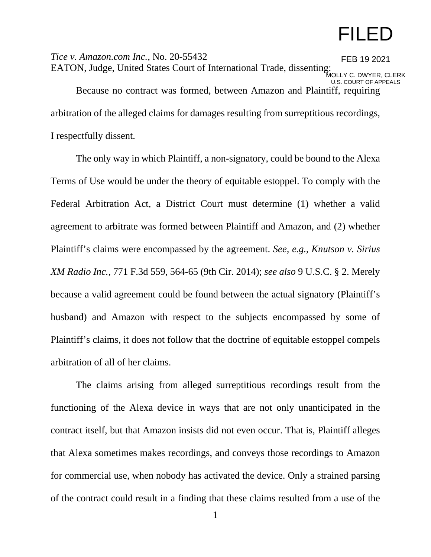# FILED

*Tice v. Amazon.com Inc.*, No. 20-55432 EATON, Judge, United States Court of International Trade, dissenting: Because no contract was formed, between Amazon and Plaintiff, requiring arbitration of the alleged claims for damages resulting from surreptitious recordings, I respectfully dissent. FEB 19 2021 MOLLY C. DWYER, CLERK U.S. COURT OF APPEALS

The only way in which Plaintiff, a non-signatory, could be bound to the Alexa Terms of Use would be under the theory of equitable estoppel. To comply with the Federal Arbitration Act, a District Court must determine (1) whether a valid agreement to arbitrate was formed between Plaintiff and Amazon, and (2) whether Plaintiff's claims were encompassed by the agreement. *See, e.g.*, *Knutson v. Sirius XM Radio Inc.*, 771 F.3d 559, 564-65 (9th Cir. 2014); *see also* 9 U.S.C. § 2. Merely because a valid agreement could be found between the actual signatory (Plaintiff's husband) and Amazon with respect to the subjects encompassed by some of Plaintiff's claims, it does not follow that the doctrine of equitable estoppel compels arbitration of all of her claims.

The claims arising from alleged surreptitious recordings result from the functioning of the Alexa device in ways that are not only unanticipated in the contract itself, but that Amazon insists did not even occur. That is, Plaintiff alleges that Alexa sometimes makes recordings, and conveys those recordings to Amazon for commercial use, when nobody has activated the device. Only a strained parsing of the contract could result in a finding that these claims resulted from a use of the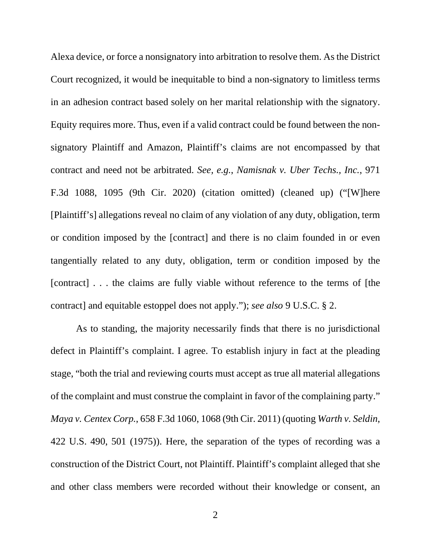Alexa device, or force a nonsignatory into arbitration to resolve them. As the District Court recognized, it would be inequitable to bind a non-signatory to limitless terms in an adhesion contract based solely on her marital relationship with the signatory. Equity requires more. Thus, even if a valid contract could be found between the nonsignatory Plaintiff and Amazon, Plaintiff's claims are not encompassed by that contract and need not be arbitrated. *See, e.g.*, *Namisnak v. Uber Techs., Inc.*, 971 F.3d 1088, 1095 (9th Cir. 2020) (citation omitted) (cleaned up) ("[W]here [Plaintiff's] allegations reveal no claim of any violation of any duty, obligation, term or condition imposed by the [contract] and there is no claim founded in or even tangentially related to any duty, obligation, term or condition imposed by the [contract] . . . the claims are fully viable without reference to the terms of [the contract] and equitable estoppel does not apply."); *see also* 9 U.S.C. § 2.

As to standing, the majority necessarily finds that there is no jurisdictional defect in Plaintiff's complaint. I agree. To establish injury in fact at the pleading stage, "both the trial and reviewing courts must accept as true all material allegations of the complaint and must construe the complaint in favor of the complaining party." *Maya v. Centex Corp.*, 658 F.3d 1060, 1068 (9th Cir. 2011) (quoting *Warth v. Seldin*, 422 U.S. 490, 501 (1975)). Here, the separation of the types of recording was a construction of the District Court, not Plaintiff. Plaintiff's complaint alleged that she and other class members were recorded without their knowledge or consent, an